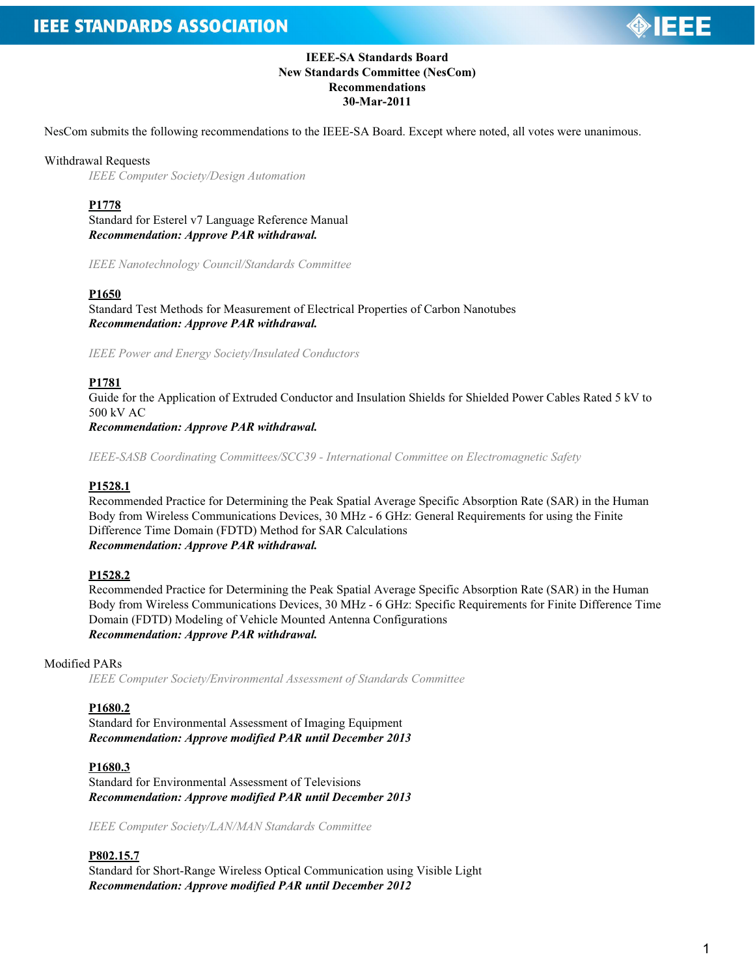

# **IEEE-SA Standards Board New Standards Committee (NesCom) Recommendations 30-Mar-2011**

NesCom submits the following recommendations to the IEEE-SA Board. Except where noted, all votes were unanimous.

#### Withdrawal Requests

*IEEE Computer Society/Design Automation*

**P1778**

Standard for Esterel v7 Language Reference Manual *Recommendation: Approve PAR withdrawal.*

*IEEE Nanotechnology Council/Standards Committee*

#### **P1650**

Standard Test Methods for Measurement of Electrical Properties of Carbon Nanotubes *Recommendation: Approve PAR withdrawal.*

*IEEE Power and Energy Society/Insulated Conductors*

#### **P1781**

Guide for the Application of Extruded Conductor and Insulation Shields for Shielded Power Cables Rated 5 kV to 500 kV AC

*Recommendation: Approve PAR withdrawal.*

*IEEE-SASB Coordinating Committees/SCC39 - International Committee on Electromagnetic Safety*

#### **P1528.1**

Recommended Practice for Determining the Peak Spatial Average Specific Absorption Rate (SAR) in the Human Body from Wireless Communications Devices, 30 MHz - 6 GHz: General Requirements for using the Finite Difference Time Domain (FDTD) Method for SAR Calculations *Recommendation: Approve PAR withdrawal.*

#### **P1528.2**

Recommended Practice for Determining the Peak Spatial Average Specific Absorption Rate (SAR) in the Human Body from Wireless Communications Devices, 30 MHz - 6 GHz: Specific Requirements for Finite Difference Time Domain (FDTD) Modeling of Vehicle Mounted Antenna Configurations *Recommendation: Approve PAR withdrawal.*

## Modified PARs

*IEEE Computer Society/Environmental Assessment of Standards Committee*

#### **P1680.2**

Standard for Environmental Assessment of Imaging Equipment *Recommendation: Approve modified PAR until December 2013*

#### **P1680.3**

Standard for Environmental Assessment of Televisions *Recommendation: Approve modified PAR until December 2013*

*IEEE Computer Society/LAN/MAN Standards Committee*

#### **P802.15.7**

Standard for Short-Range Wireless Optical Communication using Visible Light *Recommendation: Approve modified PAR until December 2012*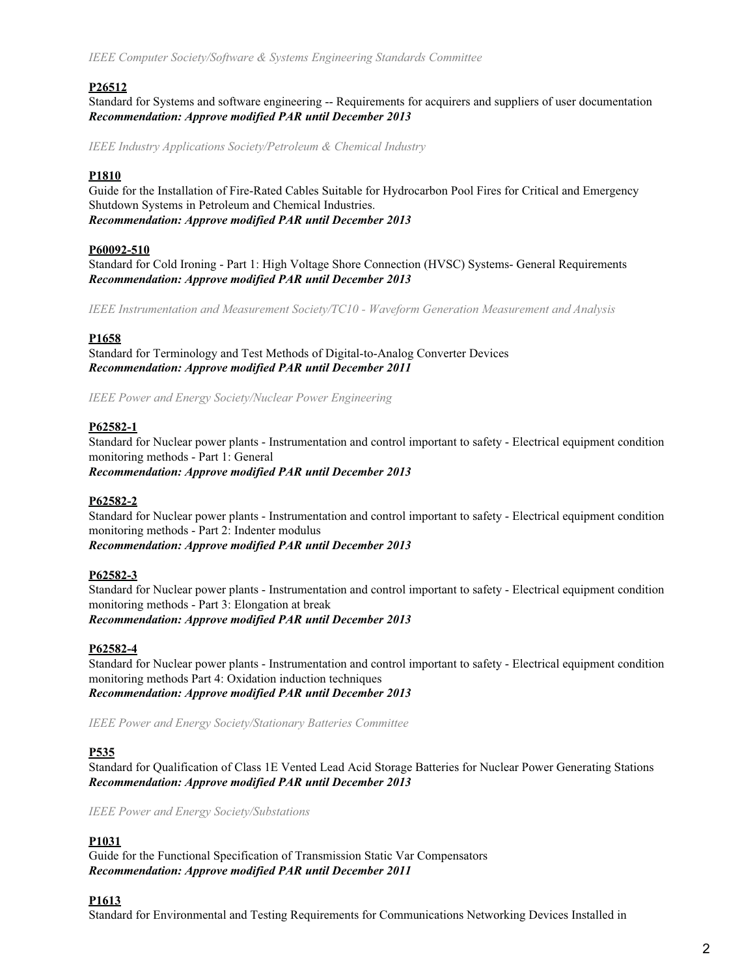# **P26512**

Standard for Systems and software engineering -- Requirements for acquirers and suppliers of user documentation *Recommendation: Approve modified PAR until December 2013*

*IEEE Industry Applications Society/Petroleum & Chemical Industry*

# **P1810**

Guide for the Installation of Fire-Rated Cables Suitable for Hydrocarbon Pool Fires for Critical and Emergency Shutdown Systems in Petroleum and Chemical Industries. *Recommendation: Approve modified PAR until December 2013*

## **P60092-510**

Standard for Cold Ironing - Part 1: High Voltage Shore Connection (HVSC) Systems- General Requirements *Recommendation: Approve modified PAR until December 2013*

*IEEE Instrumentation and Measurement Society/TC10 - Waveform Generation Measurement and Analysis*

## **P1658**

Standard for Terminology and Test Methods of Digital-to-Analog Converter Devices *Recommendation: Approve modified PAR until December 2011*

*IEEE Power and Energy Society/Nuclear Power Engineering*

## **P62582-1**

Standard for Nuclear power plants - Instrumentation and control important to safety - Electrical equipment condition monitoring methods - Part 1: General *Recommendation: Approve modified PAR until December 2013*

#### **P62582-2**

Standard for Nuclear power plants - Instrumentation and control important to safety - Electrical equipment condition monitoring methods - Part 2: Indenter modulus *Recommendation: Approve modified PAR until December 2013*

#### **P62582-3**

Standard for Nuclear power plants - Instrumentation and control important to safety - Electrical equipment condition monitoring methods - Part 3: Elongation at break *Recommendation: Approve modified PAR until December 2013*

#### **P62582-4**

Standard for Nuclear power plants - Instrumentation and control important to safety - Electrical equipment condition monitoring methods Part 4: Oxidation induction techniques *Recommendation: Approve modified PAR until December 2013*

*IEEE Power and Energy Society/Stationary Batteries Committee*

## **P535**

Standard for Qualification of Class 1E Vented Lead Acid Storage Batteries for Nuclear Power Generating Stations *Recommendation: Approve modified PAR until December 2013*

*IEEE Power and Energy Society/Substations*

# **P1031**

Guide for the Functional Specification of Transmission Static Var Compensators *Recommendation: Approve modified PAR until December 2011*

#### **P1613**

Standard for Environmental and Testing Requirements for Communications Networking Devices Installed in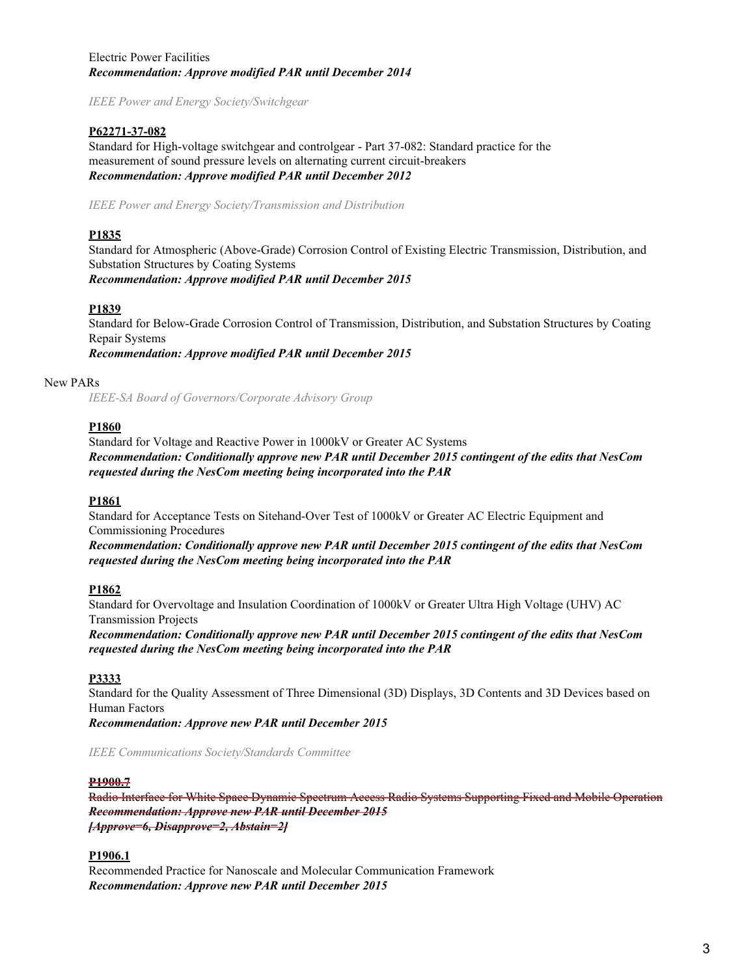# Electric Power Facilities *Recommendation: Approve modified PAR until December 2014*

*IEEE Power and Energy Society/Switchgear*

## **P62271-37-082**

Standard for High-voltage switchgear and controlgear - Part 37-082: Standard practice for the measurement of sound pressure levels on alternating current circuit-breakers *Recommendation: Approve modified PAR until December 2012*

*IEEE Power and Energy Society/Transmission and Distribution*

# **P1835**

Standard for Atmospheric (Above-Grade) Corrosion Control of Existing Electric Transmission, Distribution, and Substation Structures by Coating Systems *Recommendation: Approve modified PAR until December 2015*

## **P1839**

Standard for Below-Grade Corrosion Control of Transmission, Distribution, and Substation Structures by Coating Repair Systems

*Recommendation: Approve modified PAR until December 2015*

## New PARs

*IEEE-SA Board of Governors/Corporate Advisory Group*

# **P1860**

Standard for Voltage and Reactive Power in 1000kV or Greater AC Systems *Recommendation: Conditionally approve new PAR until December 2015 contingent of the edits that NesCom requested during the NesCom meeting being incorporated into the PAR*

## **P1861**

Standard for Acceptance Tests on Sitehand-Over Test of 1000kV or Greater AC Electric Equipment and Commissioning Procedures

*Recommendation: Conditionally approve new PAR until December 2015 contingent of the edits that NesCom requested during the NesCom meeting being incorporated into the PAR*

## **P1862**

Standard for Overvoltage and Insulation Coordination of 1000kV or Greater Ultra High Voltage (UHV) AC Transmission Projects

*Recommendation: Conditionally approve new PAR until December 2015 contingent of the edits that NesCom requested during the NesCom meeting being incorporated into the PAR*

## **P3333**

Standard for the Quality Assessment of Three Dimensional (3D) Displays, 3D Contents and 3D Devices based on Human Factors

*Recommendation: Approve new PAR until December 2015*

*IEEE Communications Society/Standards Committee*

#### **P1900.7**

Radio Interface for White Space Dynamic Spectrum Access Radio Systems Supporting Fixed and Mobile Operation *Recommendation: Approve new PAR until December 2015 [Approve=6, Disapprove=2, Abstain=2]*

## **P1906.1**

Recommended Practice for Nanoscale and Molecular Communication Framework *Recommendation: Approve new PAR until December 2015*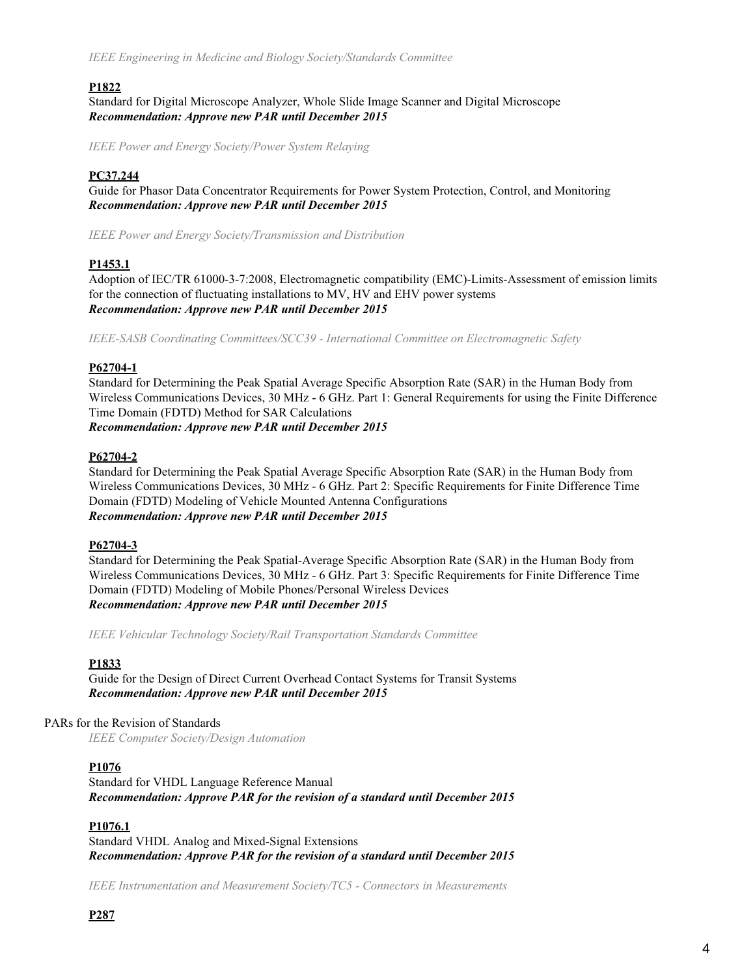## **P1822**

Standard for Digital Microscope Analyzer, Whole Slide Image Scanner and Digital Microscope *Recommendation: Approve new PAR until December 2015*

*IEEE Power and Energy Society/Power System Relaying*

## **PC37.244**

Guide for Phasor Data Concentrator Requirements for Power System Protection, Control, and Monitoring *Recommendation: Approve new PAR until December 2015*

*IEEE Power and Energy Society/Transmission and Distribution*

## **P1453.1**

Adoption of IEC/TR 61000-3-7:2008, Electromagnetic compatibility (EMC)-Limits-Assessment of emission limits for the connection of fluctuating installations to MV, HV and EHV power systems *Recommendation: Approve new PAR until December 2015*

*IEEE-SASB Coordinating Committees/SCC39 - International Committee on Electromagnetic Safety*

#### **P62704-1**

Standard for Determining the Peak Spatial Average Specific Absorption Rate (SAR) in the Human Body from Wireless Communications Devices, 30 MHz - 6 GHz. Part 1: General Requirements for using the Finite Difference Time Domain (FDTD) Method for SAR Calculations *Recommendation: Approve new PAR until December 2015*

## **P62704-2**

Standard for Determining the Peak Spatial Average Specific Absorption Rate (SAR) in the Human Body from Wireless Communications Devices, 30 MHz - 6 GHz. Part 2: Specific Requirements for Finite Difference Time Domain (FDTD) Modeling of Vehicle Mounted Antenna Configurations *Recommendation: Approve new PAR until December 2015*

#### **P62704-3**

Standard for Determining the Peak Spatial-Average Specific Absorption Rate (SAR) in the Human Body from Wireless Communications Devices, 30 MHz - 6 GHz. Part 3: Specific Requirements for Finite Difference Time Domain (FDTD) Modeling of Mobile Phones/Personal Wireless Devices *Recommendation: Approve new PAR until December 2015*

*IEEE Vehicular Technology Society/Rail Transportation Standards Committee*

#### **P1833**

Guide for the Design of Direct Current Overhead Contact Systems for Transit Systems *Recommendation: Approve new PAR until December 2015*

#### PARs for the Revision of Standards

*IEEE Computer Society/Design Automation*

#### **P1076**

Standard for VHDL Language Reference Manual *Recommendation: Approve PAR for the revision of a standard until December 2015*

## **P1076.1**

Standard VHDL Analog and Mixed-Signal Extensions *Recommendation: Approve PAR for the revision of a standard until December 2015*

*IEEE Instrumentation and Measurement Society/TC5 - Connectors in Measurements*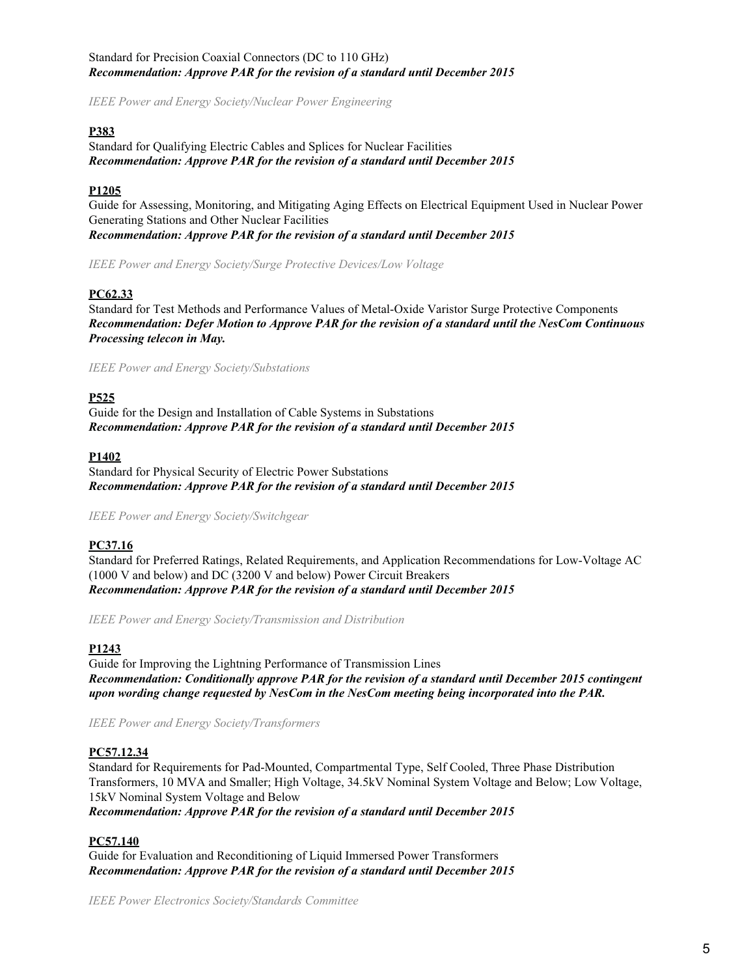# Standard for Precision Coaxial Connectors (DC to 110 GHz) *Recommendation: Approve PAR for the revision of a standard until December 2015*

*IEEE Power and Energy Society/Nuclear Power Engineering*

## **P383**

Standard for Qualifying Electric Cables and Splices for Nuclear Facilities *Recommendation: Approve PAR for the revision of a standard until December 2015*

# **P1205**

Guide for Assessing, Monitoring, and Mitigating Aging Effects on Electrical Equipment Used in Nuclear Power Generating Stations and Other Nuclear Facilities *Recommendation: Approve PAR for the revision of a standard until December 2015*

*IEEE Power and Energy Society/Surge Protective Devices/Low Voltage*

# **PC62.33**

Standard for Test Methods and Performance Values of Metal-Oxide Varistor Surge Protective Components *Recommendation: Defer Motion to Approve PAR for the revision of a standard until the NesCom Continuous Processing telecon in May.*

*IEEE Power and Energy Society/Substations*

# **P525**

Guide for the Design and Installation of Cable Systems in Substations *Recommendation: Approve PAR for the revision of a standard until December 2015*

## **P1402**

Standard for Physical Security of Electric Power Substations *Recommendation: Approve PAR for the revision of a standard until December 2015*

*IEEE Power and Energy Society/Switchgear*

# **PC37.16**

Standard for Preferred Ratings, Related Requirements, and Application Recommendations for Low-Voltage AC (1000 V and below) and DC (3200 V and below) Power Circuit Breakers *Recommendation: Approve PAR for the revision of a standard until December 2015*

*IEEE Power and Energy Society/Transmission and Distribution*

## **P1243**

Guide for Improving the Lightning Performance of Transmission Lines *Recommendation: Conditionally approve PAR for the revision of a standard until December 2015 contingent upon wording change requested by NesCom in the NesCom meeting being incorporated into the PAR.*

*IEEE Power and Energy Society/Transformers*

## **PC57.12.34**

Standard for Requirements for Pad-Mounted, Compartmental Type, Self Cooled, Three Phase Distribution Transformers, 10 MVA and Smaller; High Voltage, 34.5kV Nominal System Voltage and Below; Low Voltage, 15kV Nominal System Voltage and Below

*Recommendation: Approve PAR for the revision of a standard until December 2015*

# **PC57.140**

Guide for Evaluation and Reconditioning of Liquid Immersed Power Transformers *Recommendation: Approve PAR for the revision of a standard until December 2015*

*IEEE Power Electronics Society/Standards Committee*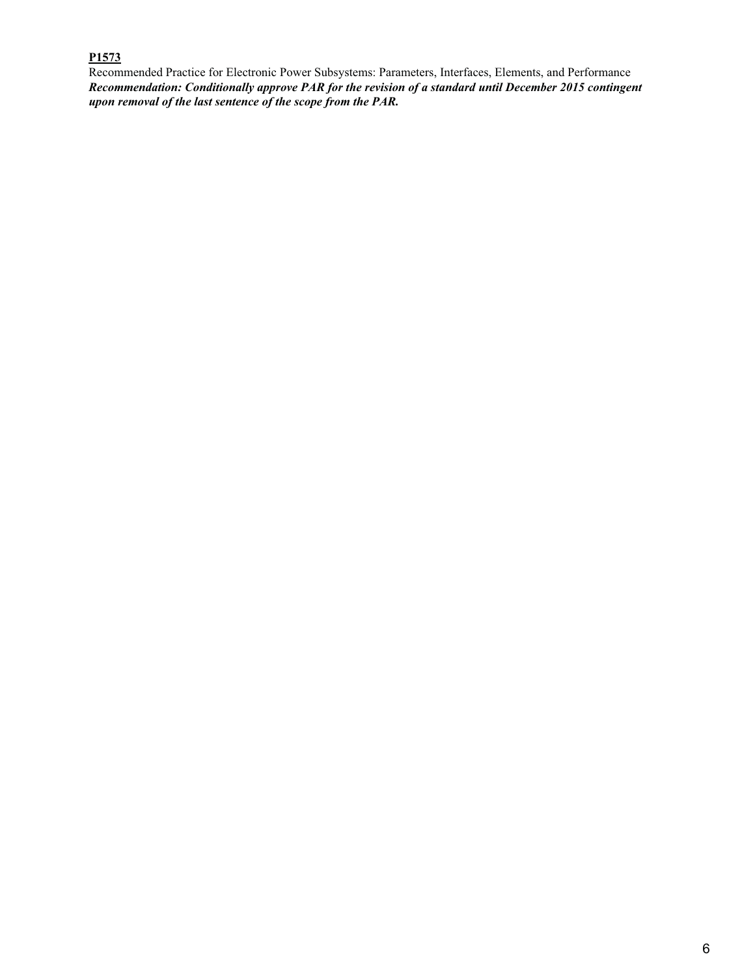# **P1573**

Recommended Practice for Electronic Power Subsystems: Parameters, Interfaces, Elements, and Performance *Recommendation: Conditionally approve PAR for the revision of a standard until December 2015 contingent upon removal of the last sentence of the scope from the PAR.*